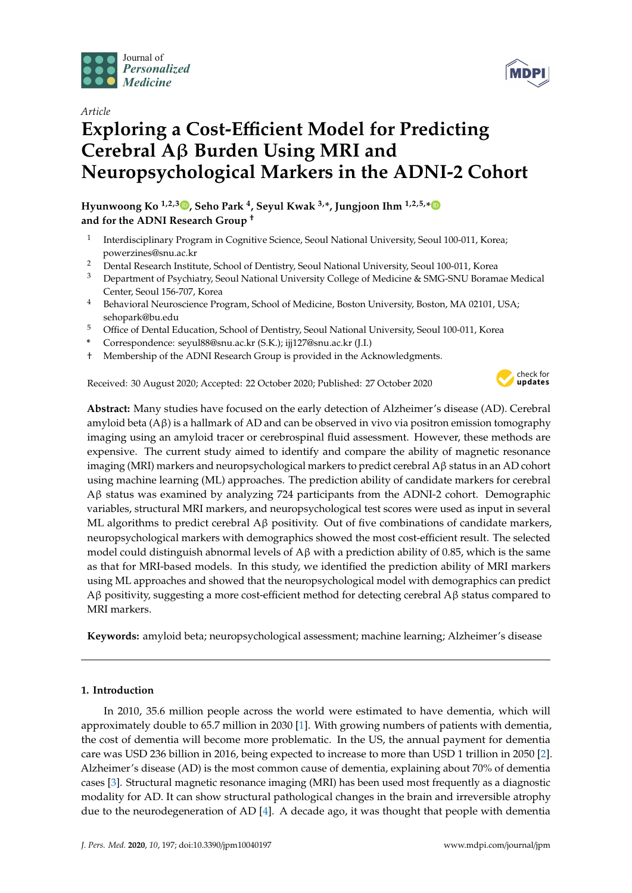

## *Article*

# **Exploring a Cost-E**ffi**cient Model for Predicting Cerebral A**β **Burden Using MRI and Neuropsychological Markers in the ADNI-2 Cohort**

**Hyunwoong Ko 1,2,3 [,](https://orcid.org/0000-0001-7135-3872) Seho Park <sup>4</sup> , Seyul Kwak 3,\*, Jungjoon Ihm 1,2,5,[\\*](https://orcid.org/0000-0002-3136-5956) and for the ADNI Research Group** †

- 1 Interdisciplinary Program in Cognitive Science, Seoul National University, Seoul 100-011, Korea; powerzines@snu.ac.kr
- <sup>2</sup> Dental Research Institute, School of Dentistry, Seoul National University, Seoul 100-011, Korea
- <sup>3</sup> Department of Psychiatry, Seoul National University College of Medicine & SMG-SNU Boramae Medical Center, Seoul 156-707, Korea
- <sup>4</sup> Behavioral Neuroscience Program, School of Medicine, Boston University, Boston, MA 02101, USA; sehopark@bu.edu
- <sup>5</sup> Office of Dental Education, School of Dentistry, Seoul National University, Seoul 100-011, Korea
- **\*** Correspondence: seyul88@snu.ac.kr (S.K.); ijj127@snu.ac.kr (J.I.)
- † Membership of the ADNI Research Group is provided in the Acknowledgments.

Received: 30 August 2020; Accepted: 22 October 2020; Published: 27 October 2020



**MDP** 

**Abstract:** Many studies have focused on the early detection of Alzheimer's disease (AD). Cerebral amyloid beta  $(A\beta)$  is a hallmark of AD and can be observed in vivo via positron emission tomography imaging using an amyloid tracer or cerebrospinal fluid assessment. However, these methods are expensive. The current study aimed to identify and compare the ability of magnetic resonance imaging (MRI) markers and neuropsychological markers to predict cerebral Aβ status in an AD cohort using machine learning (ML) approaches. The prediction ability of candidate markers for cerebral Aβ status was examined by analyzing 724 participants from the ADNI-2 cohort. Demographic variables, structural MRI markers, and neuropsychological test scores were used as input in several ML algorithms to predict cerebral  $A\beta$  positivity. Out of five combinations of candidate markers, neuropsychological markers with demographics showed the most cost-efficient result. The selected model could distinguish abnormal levels of  $Aβ$  with a prediction ability of 0.85, which is the same as that for MRI-based models. In this study, we identified the prediction ability of MRI markers using ML approaches and showed that the neuropsychological model with demographics can predict Aβ positivity, suggesting a more cost-efficient method for detecting cerebral Aβ status compared to MRI markers.

**Keywords:** amyloid beta; neuropsychological assessment; machine learning; Alzheimer's disease

## **1. Introduction**

In 2010, 35.6 million people across the world were estimated to have dementia, which will approximately double to 65.7 million in 2030 [\[1\]](#page-8-0). With growing numbers of patients with dementia, the cost of dementia will become more problematic. In the US, the annual payment for dementia care was USD 236 billion in 2016, being expected to increase to more than USD 1 trillion in 2050 [\[2\]](#page-8-1). Alzheimer's disease (AD) is the most common cause of dementia, explaining about 70% of dementia cases [\[3\]](#page-8-2). Structural magnetic resonance imaging (MRI) has been used most frequently as a diagnostic modality for AD. It can show structural pathological changes in the brain and irreversible atrophy due to the neurodegeneration of AD [\[4\]](#page-8-3). A decade ago, it was thought that people with dementia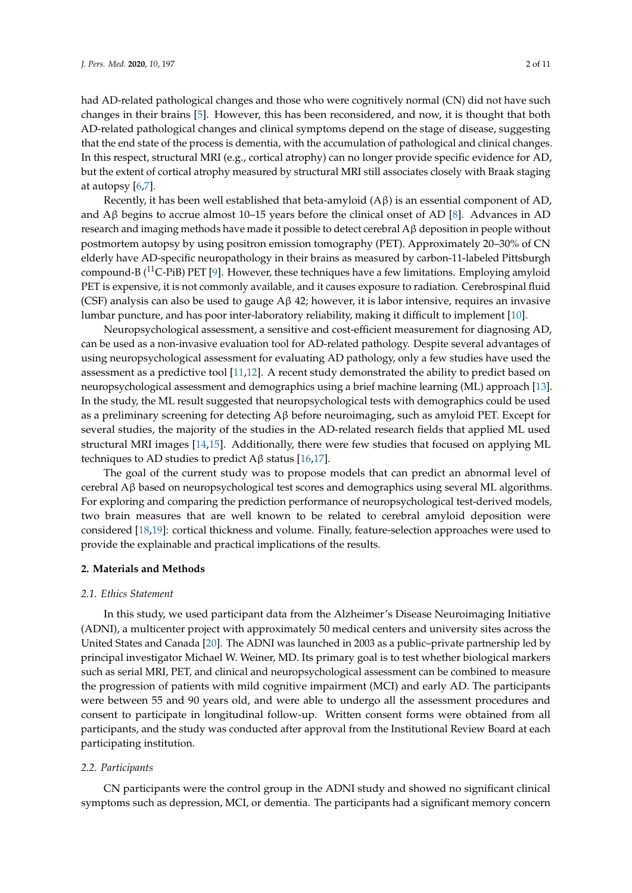had AD-related pathological changes and those who were cognitively normal (CN) did not have such changes in their brains [\[5\]](#page-8-4). However, this has been reconsidered, and now, it is thought that both AD-related pathological changes and clinical symptoms depend on the stage of disease, suggesting that the end state of the process is dementia, with the accumulation of pathological and clinical changes. In this respect, structural MRI (e.g., cortical atrophy) can no longer provide specific evidence for AD, but the extent of cortical atrophy measured by structural MRI still associates closely with Braak staging at autopsy [\[6](#page-8-5)[,7\]](#page-8-6).

Recently, it has been well established that beta-amyloid (Aβ) is an essential component of AD, and  $\widehat{A}\beta$  begins to accrue almost 10–15 years before the clinical onset of AD [\[8\]](#page-8-7). Advances in AD research and imaging methods have made it possible to detect cerebral Aβ deposition in people without postmortem autopsy by using positron emission tomography (PET). Approximately 20–30% of CN elderly have AD-specific neuropathology in their brains as measured by carbon-11-labeled Pittsburgh compound-B ( $^{11}$ C-PiB) PET [\[9\]](#page-8-8). However, these techniques have a few limitations. Employing amyloid PET is expensive, it is not commonly available, and it causes exposure to radiation. Cerebrospinal fluid (CSF) analysis can also be used to gauge Aβ 42; however, it is labor intensive, requires an invasive lumbar puncture, and has poor inter-laboratory reliability, making it difficult to implement [\[10\]](#page-8-9).

Neuropsychological assessment, a sensitive and cost-efficient measurement for diagnosing AD, can be used as a non-invasive evaluation tool for AD-related pathology. Despite several advantages of using neuropsychological assessment for evaluating AD pathology, only a few studies have used the assessment as a predictive tool [\[11](#page-8-10)[,12\]](#page-8-11). A recent study demonstrated the ability to predict based on neuropsychological assessment and demographics using a brief machine learning (ML) approach [\[13\]](#page-8-12). In the study, the ML result suggested that neuropsychological tests with demographics could be used as a preliminary screening for detecting Aβ before neuroimaging, such as amyloid PET. Except for several studies, the majority of the studies in the AD-related research fields that applied ML used structural MRI images [\[14](#page-8-13)[,15\]](#page-8-14). Additionally, there were few studies that focused on applying ML techniques to AD studies to predict  $A\beta$  status [\[16,](#page-8-15)[17\]](#page-8-16).

The goal of the current study was to propose models that can predict an abnormal level of cerebral Aβ based on neuropsychological test scores and demographics using several ML algorithms. For exploring and comparing the prediction performance of neuropsychological test-derived models, two brain measures that are well known to be related to cerebral amyloid deposition were considered [\[18,](#page-8-17)[19\]](#page-9-0): cortical thickness and volume. Finally, feature-selection approaches were used to provide the explainable and practical implications of the results.

#### **2. Materials and Methods**

#### *2.1. Ethics Statement*

In this study, we used participant data from the Alzheimer's Disease Neuroimaging Initiative (ADNI), a multicenter project with approximately 50 medical centers and university sites across the United States and Canada [\[20\]](#page-9-1). The ADNI was launched in 2003 as a public–private partnership led by principal investigator Michael W. Weiner, MD. Its primary goal is to test whether biological markers such as serial MRI, PET, and clinical and neuropsychological assessment can be combined to measure the progression of patients with mild cognitive impairment (MCI) and early AD. The participants were between 55 and 90 years old, and were able to undergo all the assessment procedures and consent to participate in longitudinal follow-up. Written consent forms were obtained from all participants, and the study was conducted after approval from the Institutional Review Board at each participating institution.

#### *2.2. Participants*

CN participants were the control group in the ADNI study and showed no significant clinical symptoms such as depression, MCI, or dementia. The participants had a significant memory concern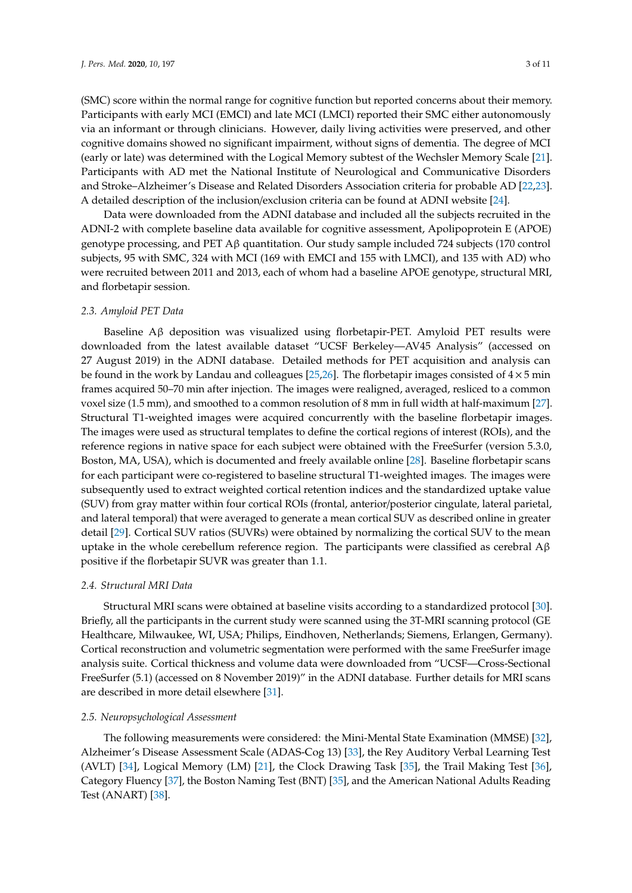(SMC) score within the normal range for cognitive function but reported concerns about their memory. Participants with early MCI (EMCI) and late MCI (LMCI) reported their SMC either autonomously via an informant or through clinicians. However, daily living activities were preserved, and other cognitive domains showed no significant impairment, without signs of dementia. The degree of MCI (early or late) was determined with the Logical Memory subtest of the Wechsler Memory Scale [\[21\]](#page-9-2). Participants with AD met the National Institute of Neurological and Communicative Disorders and Stroke–Alzheimer's Disease and Related Disorders Association criteria for probable AD [\[22,](#page-9-3)[23\]](#page-9-4). A detailed description of the inclusion/exclusion criteria can be found at ADNI website [\[24\]](#page-9-5).

Data were downloaded from the ADNI database and included all the subjects recruited in the ADNI-2 with complete baseline data available for cognitive assessment, Apolipoprotein E (APOE) genotype processing, and PET Aβ quantitation. Our study sample included 724 subjects (170 control subjects, 95 with SMC, 324 with MCI (169 with EMCI and 155 with LMCI), and 135 with AD) who were recruited between 2011 and 2013, each of whom had a baseline APOE genotype, structural MRI, and florbetapir session.

#### *2.3. Amyloid PET Data*

Baseline  $\Lambda\beta$  deposition was visualized using florbetapir-PET. Amyloid PET results were downloaded from the latest available dataset "UCSF Berkeley—AV45 Analysis" (accessed on 27 August 2019) in the ADNI database. Detailed methods for PET acquisition and analysis can be found in the work by Landau and colleagues [\[25,](#page-9-6)[26\]](#page-9-7). The florbetapir images consisted of  $4 \times 5$  min frames acquired 50–70 min after injection. The images were realigned, averaged, resliced to a common voxel size (1.5 mm), and smoothed to a common resolution of 8 mm in full width at half-maximum [\[27\]](#page-9-8). Structural T1-weighted images were acquired concurrently with the baseline florbetapir images. The images were used as structural templates to define the cortical regions of interest (ROIs), and the reference regions in native space for each subject were obtained with the FreeSurfer (version 5.3.0, Boston, MA, USA), which is documented and freely available online [\[28\]](#page-9-9). Baseline florbetapir scans for each participant were co-registered to baseline structural T1-weighted images. The images were subsequently used to extract weighted cortical retention indices and the standardized uptake value (SUV) from gray matter within four cortical ROIs (frontal, anterior/posterior cingulate, lateral parietal, and lateral temporal) that were averaged to generate a mean cortical SUV as described online in greater detail [\[29\]](#page-9-10). Cortical SUV ratios (SUVRs) were obtained by normalizing the cortical SUV to the mean uptake in the whole cerebellum reference region. The participants were classified as cerebral  $A\beta$ positive if the florbetapir SUVR was greater than 1.1.

#### *2.4. Structural MRI Data*

Structural MRI scans were obtained at baseline visits according to a standardized protocol [\[30\]](#page-9-11). Briefly, all the participants in the current study were scanned using the 3T-MRI scanning protocol (GE Healthcare, Milwaukee, WI, USA; Philips, Eindhoven, Netherlands; Siemens, Erlangen, Germany). Cortical reconstruction and volumetric segmentation were performed with the same FreeSurfer image analysis suite. Cortical thickness and volume data were downloaded from "UCSF—Cross-Sectional FreeSurfer (5.1) (accessed on 8 November 2019)" in the ADNI database. Further details for MRI scans are described in more detail elsewhere [\[31\]](#page-9-12).

#### *2.5. Neuropsychological Assessment*

The following measurements were considered: the Mini-Mental State Examination (MMSE) [\[32\]](#page-9-13), Alzheimer's Disease Assessment Scale (ADAS-Cog 13) [\[33\]](#page-9-14), the Rey Auditory Verbal Learning Test (AVLT) [\[34\]](#page-9-15), Logical Memory (LM) [\[21\]](#page-9-2), the Clock Drawing Task [\[35\]](#page-9-16), the Trail Making Test [\[36\]](#page-9-17), Category Fluency [\[37\]](#page-9-18), the Boston Naming Test (BNT) [\[35\]](#page-9-16), and the American National Adults Reading Test (ANART) [\[38\]](#page-9-19).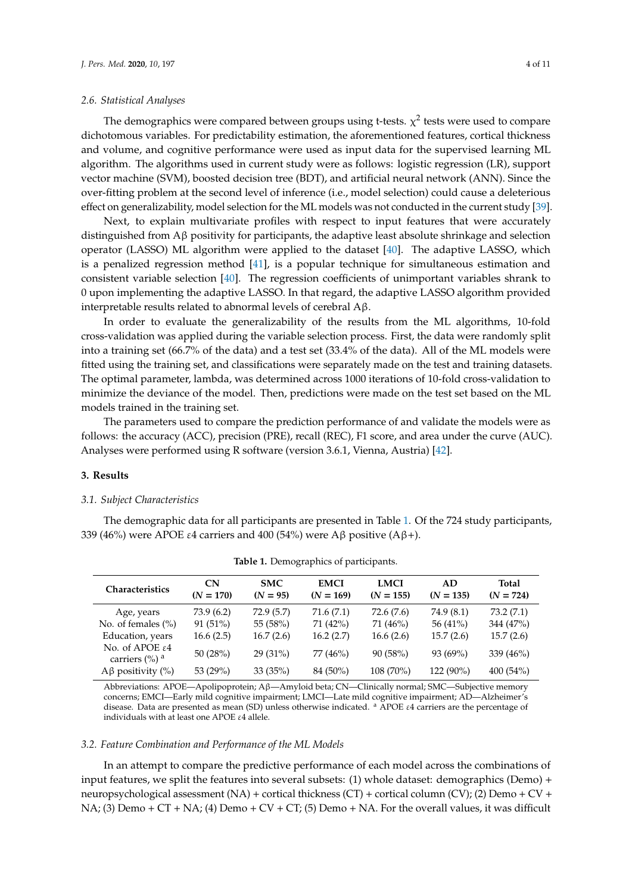#### *2.6. Statistical Analyses*

The demographics were compared between groups using t-tests.  $\chi^2$  tests were used to compare dichotomous variables. For predictability estimation, the aforementioned features, cortical thickness and volume, and cognitive performance were used as input data for the supervised learning ML algorithm. The algorithms used in current study were as follows: logistic regression (LR), support vector machine (SVM), boosted decision tree (BDT), and artificial neural network (ANN). Since the over-fitting problem at the second level of inference (i.e., model selection) could cause a deleterious effect on generalizability, model selection for the ML models was not conducted in the current study [\[39\]](#page-9-20).

Next, to explain multivariate profiles with respect to input features that were accurately distinguished from Aβ positivity for participants, the adaptive least absolute shrinkage and selection operator (LASSO) ML algorithm were applied to the dataset [\[40\]](#page-9-21). The adaptive LASSO, which is a penalized regression method [\[41\]](#page-9-22), is a popular technique for simultaneous estimation and consistent variable selection [\[40\]](#page-9-21). The regression coefficients of unimportant variables shrank to 0 upon implementing the adaptive LASSO. In that regard, the adaptive LASSO algorithm provided interpretable results related to abnormal levels of cerebral Aβ.

In order to evaluate the generalizability of the results from the ML algorithms, 10-fold cross-validation was applied during the variable selection process. First, the data were randomly split into a training set (66.7% of the data) and a test set (33.4% of the data). All of the ML models were fitted using the training set, and classifications were separately made on the test and training datasets. The optimal parameter, lambda, was determined across 1000 iterations of 10-fold cross-validation to minimize the deviance of the model. Then, predictions were made on the test set based on the ML models trained in the training set.

The parameters used to compare the prediction performance of and validate the models were as follows: the accuracy (ACC), precision (PRE), recall (REC), F1 score, and area under the curve (AUC). Analyses were performed using R software (version 3.6.1, Vienna, Austria) [\[42\]](#page-10-0).

#### **3. Results**

#### *3.1. Subject Characteristics*

The demographic data for all participants are presented in Table [1.](#page-3-0) Of the 724 study participants, 339 (46%) were APOE ε4 carriers and 400 (54%) were Aβ positive (Aβ+).

<span id="page-3-0"></span>

| <b>Characteristics</b>                                                  | <b>CN</b><br>$(N = 170)$ | <b>SMC</b><br>$(N = 95)$ | <b>EMCI</b><br>$(N = 169)$ | <b>LMCI</b><br>$(N = 155)$ | AD<br>$(N = 135)$ | <b>Total</b><br>$(N = 724)$ |
|-------------------------------------------------------------------------|--------------------------|--------------------------|----------------------------|----------------------------|-------------------|-----------------------------|
| Age, years                                                              | 73.9(6.2)                | 72.9(5.7)                | 71.6(7.1)                  | 72.6 (7.6)                 | 74.9 (8.1)        | 73.2(7.1)                   |
| No. of females $(\% )$                                                  | 91(51%)                  | 55 (58%)                 | 71 (42%)                   | 71 (46%)                   | 56 (41%)          | 344 (47%)                   |
| Education, years                                                        | 16.6(2.5)                | 16.7(2.6)                | 16.2(2.7)                  | 16.6(2.6)                  | 15.7(2.6)         | 15.7(2.6)                   |
| No. of APOE $\varepsilon$ 4<br>carriers $\left(\% \right)$ <sup>a</sup> | 50 $(28%)$               | $29(31\%)$               | 77 (46%)                   | 90(58%)                    | 93 (69%)          | 339 (46%)                   |
| $Aβ$ positivity (%)                                                     | 53 (29%)                 | 33(35%)                  | 84 (50%)                   | 108 (70%)                  | 122 (90%)         | 400(54%)                    |

**Table 1.** Demographics of participants.

Abbreviations: APOE—Apolipoprotein; Aβ—Amyloid beta; CN—Clinically normal; SMC—Subjective memory concerns; EMCI—Early mild cognitive impairment; LMCI—Late mild cognitive impairment; AD—Alzheimer's disease. Data are presented as mean (SD) unless otherwise indicated. <sup>a</sup> APOE ε4 carriers are the percentage of individuals with at least one APOE ε4 allele.

#### *3.2. Feature Combination and Performance of the ML Models*

In an attempt to compare the predictive performance of each model across the combinations of input features, we split the features into several subsets: (1) whole dataset: demographics (Demo) + neuropsychological assessment (NA) + cortical thickness (CT) + cortical column (CV); (2) Demo + CV + NA; (3) Demo + CT + NA; (4) Demo + CV + CT; (5) Demo + NA. For the overall values, it was difficult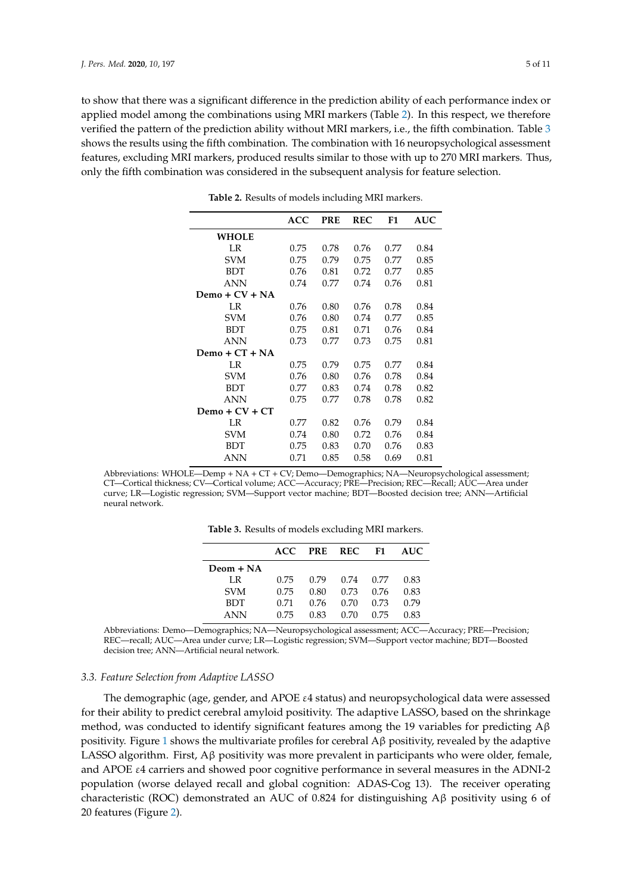<span id="page-4-0"></span>to show that there was a significant difference in the prediction ability of each performance index or applied model among the combinations using MRI markers (Table [2\)](#page-4-0). In this respect, we therefore verified the pattern of the prediction ability without MRI markers, i.e., the fifth combination. Table [3](#page-4-1) shows the results using the fifth combination. The combination with 16 neuropsychological assessment features, excluding MRI markers, produced results similar to those with up to 270 MRI markers. Thus, only the fifth combination was considered in the subsequent analysis for feature selection.

|                  | <b>ACC</b> | <b>PRE</b> | <b>REC</b> | F1   | <b>AUC</b> |
|------------------|------------|------------|------------|------|------------|
| WHOLE            |            |            |            |      |            |
| LR               | 0.75       | 0.78       | 0.76       | 0.77 | 0.84       |
| <b>SVM</b>       | 0.75       | 0.79       | 0.75       | 0.77 | 0.85       |
| <b>BDT</b>       | 0.76       | 0.81       | 0.72       | 0.77 | 0.85       |
| <b>ANN</b>       | 0.74       | 0.77       | 0.74       | 0.76 | 0.81       |
| $Demo + CV + NA$ |            |            |            |      |            |
| LR               | 0.76       | 0.80       | 0.76       | 0.78 | 0.84       |
| <b>SVM</b>       | 0.76       | 0.80       | 0.74       | 0.77 | 0.85       |
| <b>BDT</b>       | 0.75       | 0.81       | 0.71       | 0.76 | 0.84       |
| <b>ANN</b>       | 0.73       | 0.77       | 0.73       | 0.75 | 0.81       |
| Demo + $CT + NA$ |            |            |            |      |            |
| LR               | 0.75       | 0.79       | 0.75       | 0.77 | 0.84       |
| <b>SVM</b>       | 0.76       | 0.80       | 0.76       | 0.78 | 0.84       |
| <b>BDT</b>       | 0.77       | 0.83       | 0.74       | 0.78 | 0.82       |
| ANN              | 0.75       | 0.77       | 0.78       | 0.78 | 0.82       |
| $Demo + CV + CT$ |            |            |            |      |            |
| LR               | 0.77       | 0.82       | 0.76       | 0.79 | 0.84       |
| <b>SVM</b>       | 0.74       | 0.80       | 0.72       | 0.76 | 0.84       |
| BDT              | 0.75       | 0.83       | 0.70       | 0.76 | 0.83       |
| <b>ANN</b>       | 0.71       | 0.85       | 0.58       | 0.69 | 0.81       |

**Table 2.** Results of models including MRI markers.

<span id="page-4-1"></span>Abbreviations: WHOLE—Demp + NA + CT + CV; Demo—Demographics; NA—Neuropsychological assessment; CT—Cortical thickness; CV—Cortical volume; ACC—Accuracy; PRE—Precision; REC—Recall; AUC—Area under curve; LR—Logistic regression; SVM—Support vector machine; BDT—Boosted decision tree; ANN—Artificial neural network.

|  |  | <b>Table 3.</b> Results of models excluding MRI markers. |  |  |  |  |  |  |  |  |  |
|--|--|----------------------------------------------------------|--|--|--|--|--|--|--|--|--|
|--|--|----------------------------------------------------------|--|--|--|--|--|--|--|--|--|

|            | ACC. | PRE REC |      | F1.  | AUC  |
|------------|------|---------|------|------|------|
| Deom + NA  |      |         |      |      |      |
| LR.        | 0.75 | 0.79    | 0.74 | 0.77 | 0.83 |
| <b>SVM</b> | 0.75 | 0.80    | 0.73 | 0.76 | 0.83 |
| <b>BDT</b> | 0.71 | 0.76    | 0.70 | 0.73 | 0.79 |
| <b>ANN</b> | 0.75 | 0.83    | 0.70 | 0.75 | 0.83 |

Abbreviations: Demo—Demographics; NA—Neuropsychological assessment; ACC—Accuracy; PRE—Precision; REC—recall; AUC—Area under curve; LR—Logistic regression; SVM—Support vector machine; BDT—Boosted decision tree; ANN—Artificial neural network.

#### *3.3. Feature Selection from Adaptive LASSO*

The demographic (age, gender, and APOE  $\varepsilon$ 4 status) and neuropsychological data were assessed for their ability to predict cerebral amyloid positivity. The adaptive LASSO, based on the shrinkage method, was conducted to identify significant features among the 19 variables for predicting  $A\beta$ positivity. Figure [1](#page-5-0) shows the multivariate profiles for cerebral  $\mathbf{A}\beta$  positivity, revealed by the adaptive LASSO algorithm. First, Aβ positivity was more prevalent in participants who were older, female, and APOE ε4 carriers and showed poor cognitive performance in several measures in the ADNI-2 population (worse delayed recall and global cognition: ADAS-Cog 13). The receiver operating characteristic (ROC) demonstrated an AUC of 0.824 for distinguishing  $A\beta$  positivity using 6 of 20 features (Figure [2\)](#page-5-1).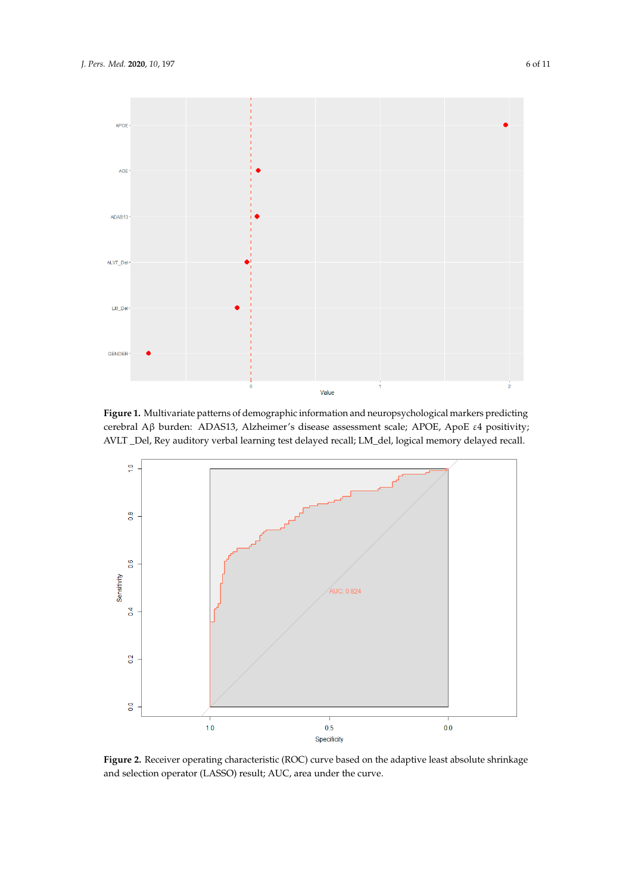<span id="page-5-0"></span>

Figure 1. Multivariate patterns of demographic information and neuropsychological markers predicting cerebral Aβ burden: ADAS13, Alzheimer's disease assessment scale; APOE, ApoE ε4 positivity; positivity; AVLT \_Del, Rey auditory verbal learning test delayed recall; LM\_del, logical memory AVLT \_Del, Rey auditory verbal learning test delayed recall; LM\_del, logical memory delayed recall.

<span id="page-5-1"></span>

**Figure 2.** Receiver operating characteristic (ROC) curve based on the adaptive least absolute **Figure 2.** Receiver operating characteristic (ROC) curve based on the adaptive least absolute shrinkage and selection operator (LASSO) result; AUC, area under the curve.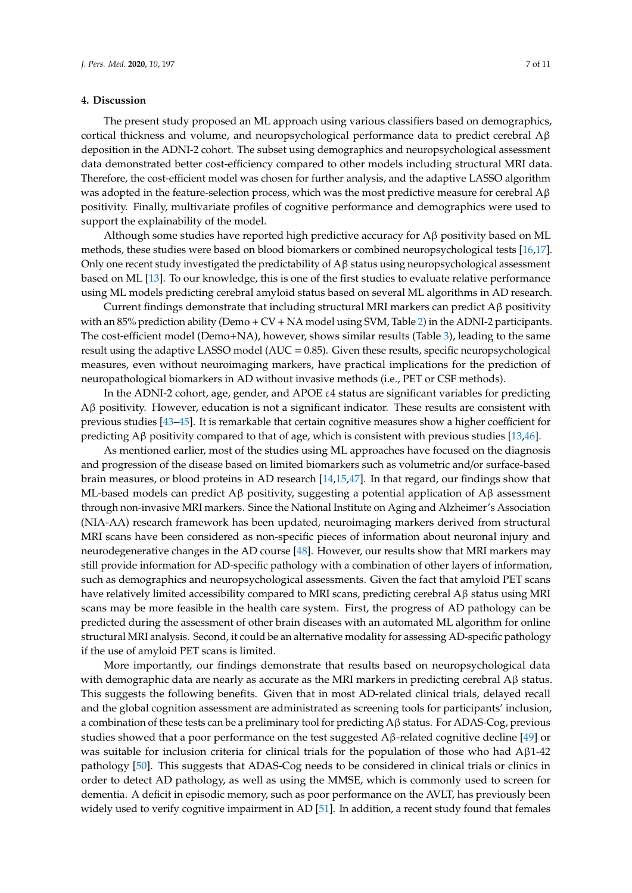#### **4. Discussion**

The present study proposed an ML approach using various classifiers based on demographics, cortical thickness and volume, and neuropsychological performance data to predict cerebral Aβ deposition in the ADNI-2 cohort. The subset using demographics and neuropsychological assessment data demonstrated better cost-efficiency compared to other models including structural MRI data. Therefore, the cost-efficient model was chosen for further analysis, and the adaptive LASSO algorithm was adopted in the feature-selection process, which was the most predictive measure for cerebral  $A\beta$ positivity. Finally, multivariate profiles of cognitive performance and demographics were used to support the explainability of the model.

Although some studies have reported high predictive accuracy for  $A\beta$  positivity based on ML methods, these studies were based on blood biomarkers or combined neuropsychological tests [\[16](#page-8-15)[,17\]](#page-8-16). Only one recent study investigated the predictability of  $\mathbf{A}\beta$  status using neuropsychological assessment based on ML [\[13\]](#page-8-12). To our knowledge, this is one of the first studies to evaluate relative performance using ML models predicting cerebral amyloid status based on several ML algorithms in AD research.

Current findings demonstrate that including structural MRI markers can predict  $A\beta$  positivity with an 85% prediction ability (Demo + CV + NA model using SVM, Table [2\)](#page-4-0) in the ADNI-2 participants. The cost-efficient model (Demo+NA), however, shows similar results (Table [3\)](#page-4-1), leading to the same result using the adaptive LASSO model ( $AUC = 0.85$ ). Given these results, specific neuropsychological measures, even without neuroimaging markers, have practical implications for the prediction of neuropathological biomarkers in AD without invasive methods (i.e., PET or CSF methods).

In the ADNI-2 cohort, age, gender, and APOE  $\varepsilon$ 4 status are significant variables for predicting Aβ positivity. However, education is not a significant indicator. These results are consistent with previous studies [\[43–](#page-10-1)[45\]](#page-10-2). It is remarkable that certain cognitive measures show a higher coefficient for predicting Aβ positivity compared to that of age, which is consistent with previous studies [\[13](#page-8-12)[,46\]](#page-10-3).

As mentioned earlier, most of the studies using ML approaches have focused on the diagnosis and progression of the disease based on limited biomarkers such as volumetric and/or surface-based brain measures, or blood proteins in AD research [\[14,](#page-8-13)[15,](#page-8-14)[47\]](#page-10-4). In that regard, our findings show that ML-based models can predict  $A\beta$  positivity, suggesting a potential application of  $A\beta$  assessment through non-invasive MRI markers. Since the National Institute on Aging and Alzheimer's Association (NIA-AA) research framework has been updated, neuroimaging markers derived from structural MRI scans have been considered as non-specific pieces of information about neuronal injury and neurodegenerative changes in the AD course [\[48\]](#page-10-5). However, our results show that MRI markers may still provide information for AD-specific pathology with a combination of other layers of information, such as demographics and neuropsychological assessments. Given the fact that amyloid PET scans have relatively limited accessibility compared to MRI scans, predicting cerebral Aβ status using MRI scans may be more feasible in the health care system. First, the progress of AD pathology can be predicted during the assessment of other brain diseases with an automated ML algorithm for online structural MRI analysis. Second, it could be an alternative modality for assessing AD-specific pathology if the use of amyloid PET scans is limited.

More importantly, our findings demonstrate that results based on neuropsychological data with demographic data are nearly as accurate as the MRI markers in predicting cerebral  $A\beta$  status. This suggests the following benefits. Given that in most AD-related clinical trials, delayed recall and the global cognition assessment are administrated as screening tools for participants' inclusion, a combination of these tests can be a preliminary tool for predicting Aβ status. For ADAS-Cog, previous studies showed that a poor performance on the test suggested  $A\beta$ -related cognitive decline [\[49\]](#page-10-6) or was suitable for inclusion criteria for clinical trials for the population of those who had  $A\beta1-42$ pathology [\[50\]](#page-10-7). This suggests that ADAS-Cog needs to be considered in clinical trials or clinics in order to detect AD pathology, as well as using the MMSE, which is commonly used to screen for dementia. A deficit in episodic memory, such as poor performance on the AVLT, has previously been widely used to verify cognitive impairment in AD [\[51\]](#page-10-8). In addition, a recent study found that females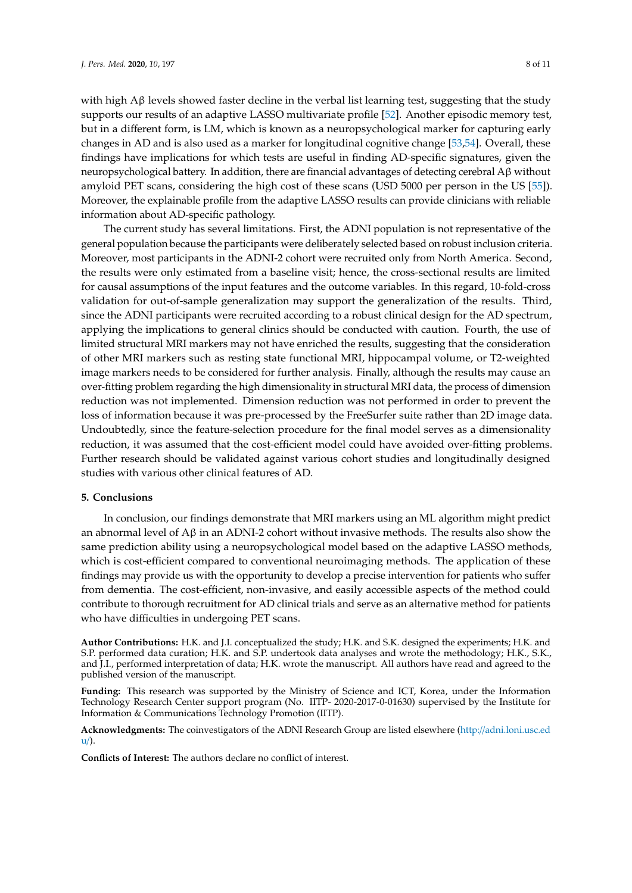with high  $\text{A}\beta$  levels showed faster decline in the verbal list learning test, suggesting that the study supports our results of an adaptive LASSO multivariate profile [\[52\]](#page-10-9). Another episodic memory test, but in a different form, is LM, which is known as a neuropsychological marker for capturing early changes in AD and is also used as a marker for longitudinal cognitive change [\[53,](#page-10-10)[54\]](#page-10-11). Overall, these findings have implications for which tests are useful in finding AD-specific signatures, given the neuropsychological battery. In addition, there are financial advantages of detecting cerebral Aβ without amyloid PET scans, considering the high cost of these scans (USD 5000 per person in the US [\[55\]](#page-10-12)). Moreover, the explainable profile from the adaptive LASSO results can provide clinicians with reliable information about AD-specific pathology.

The current study has several limitations. First, the ADNI population is not representative of the general population because the participants were deliberately selected based on robust inclusion criteria. Moreover, most participants in the ADNI-2 cohort were recruited only from North America. Second, the results were only estimated from a baseline visit; hence, the cross-sectional results are limited for causal assumptions of the input features and the outcome variables. In this regard, 10-fold-cross validation for out-of-sample generalization may support the generalization of the results. Third, since the ADNI participants were recruited according to a robust clinical design for the AD spectrum, applying the implications to general clinics should be conducted with caution. Fourth, the use of limited structural MRI markers may not have enriched the results, suggesting that the consideration of other MRI markers such as resting state functional MRI, hippocampal volume, or T2-weighted image markers needs to be considered for further analysis. Finally, although the results may cause an over-fitting problem regarding the high dimensionality in structural MRI data, the process of dimension reduction was not implemented. Dimension reduction was not performed in order to prevent the loss of information because it was pre-processed by the FreeSurfer suite rather than 2D image data. Undoubtedly, since the feature-selection procedure for the final model serves as a dimensionality reduction, it was assumed that the cost-efficient model could have avoided over-fitting problems. Further research should be validated against various cohort studies and longitudinally designed studies with various other clinical features of AD.

#### **5. Conclusions**

In conclusion, our findings demonstrate that MRI markers using an ML algorithm might predict an abnormal level of  $A\beta$  in an ADNI-2 cohort without invasive methods. The results also show the same prediction ability using a neuropsychological model based on the adaptive LASSO methods, which is cost-efficient compared to conventional neuroimaging methods. The application of these findings may provide us with the opportunity to develop a precise intervention for patients who suffer from dementia. The cost-efficient, non-invasive, and easily accessible aspects of the method could contribute to thorough recruitment for AD clinical trials and serve as an alternative method for patients who have difficulties in undergoing PET scans.

**Author Contributions:** H.K. and J.I. conceptualized the study; H.K. and S.K. designed the experiments; H.K. and S.P. performed data curation; H.K. and S.P. undertook data analyses and wrote the methodology; H.K., S.K., and J.I., performed interpretation of data; H.K. wrote the manuscript. All authors have read and agreed to the published version of the manuscript.

**Funding:** This research was supported by the Ministry of Science and ICT, Korea, under the Information Technology Research Center support program (No. IITP- 2020-2017-0-01630) supervised by the Institute for Information & Communications Technology Promotion (IITP).

**Acknowledgments:** The coinvestigators of the ADNI Research Group are listed elsewhere (http://[adni.loni.usc.ed](http://adni.loni.usc.edu/) [u](http://adni.loni.usc.edu/)/).

**Conflicts of Interest:** The authors declare no conflict of interest.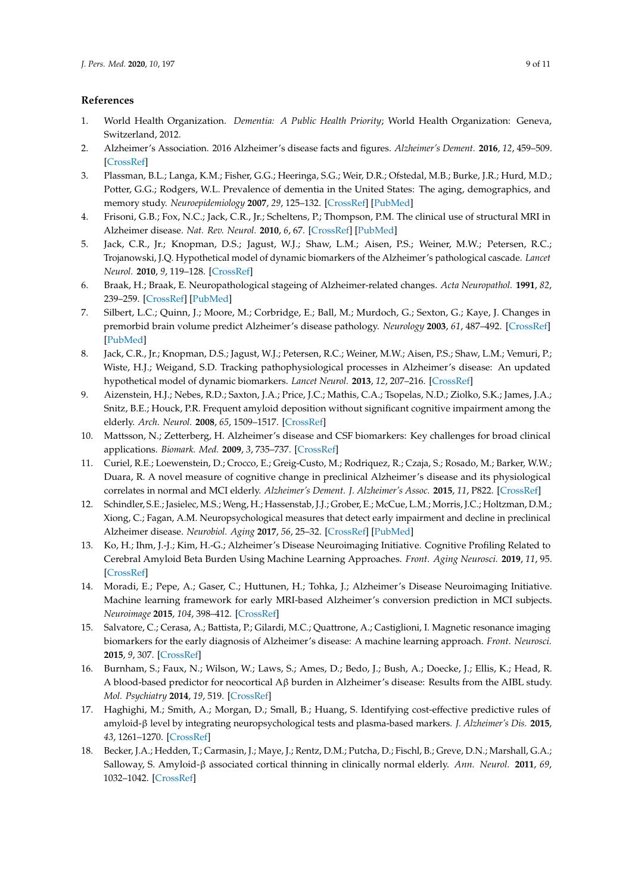### **References**

- <span id="page-8-0"></span>1. World Health Organization. *Dementia: A Public Health Priority*; World Health Organization: Geneva, Switzerland, 2012.
- <span id="page-8-1"></span>2. Alzheimer's Association. 2016 Alzheimer's disease facts and figures. *Alzheimer's Dement.* **2016**, *12*, 459–509. [\[CrossRef\]](http://dx.doi.org/10.1016/j.jalz.2016.03.001)
- <span id="page-8-2"></span>3. Plassman, B.L.; Langa, K.M.; Fisher, G.G.; Heeringa, S.G.; Weir, D.R.; Ofstedal, M.B.; Burke, J.R.; Hurd, M.D.; Potter, G.G.; Rodgers, W.L. Prevalence of dementia in the United States: The aging, demographics, and memory study. *Neuroepidemiology* **2007**, *29*, 125–132. [\[CrossRef\]](http://dx.doi.org/10.1159/000109998) [\[PubMed\]](http://www.ncbi.nlm.nih.gov/pubmed/17975326)
- <span id="page-8-3"></span>4. Frisoni, G.B.; Fox, N.C.; Jack, C.R., Jr.; Scheltens, P.; Thompson, P.M. The clinical use of structural MRI in Alzheimer disease. *Nat. Rev. Neurol.* **2010**, *6*, 67. [\[CrossRef\]](http://dx.doi.org/10.1038/nrneurol.2009.215) [\[PubMed\]](http://www.ncbi.nlm.nih.gov/pubmed/20139996)
- <span id="page-8-4"></span>5. Jack, C.R., Jr.; Knopman, D.S.; Jagust, W.J.; Shaw, L.M.; Aisen, P.S.; Weiner, M.W.; Petersen, R.C.; Trojanowski, J.Q. Hypothetical model of dynamic biomarkers of the Alzheimer's pathological cascade. *Lancet Neurol.* **2010**, *9*, 119–128. [\[CrossRef\]](http://dx.doi.org/10.1016/S1474-4422(09)70299-6)
- <span id="page-8-5"></span>6. Braak, H.; Braak, E. Neuropathological stageing of Alzheimer-related changes. *Acta Neuropathol.* **1991**, *82*, 239–259. [\[CrossRef\]](http://dx.doi.org/10.1007/BF00308809) [\[PubMed\]](http://www.ncbi.nlm.nih.gov/pubmed/1759558)
- <span id="page-8-6"></span>7. Silbert, L.C.; Quinn, J.; Moore, M.; Corbridge, E.; Ball, M.; Murdoch, G.; Sexton, G.; Kaye, J. Changes in premorbid brain volume predict Alzheimer's disease pathology. *Neurology* **2003**, *61*, 487–492. [\[CrossRef\]](http://dx.doi.org/10.1212/01.WNL.0000079053.77227.14) [\[PubMed\]](http://www.ncbi.nlm.nih.gov/pubmed/12939422)
- <span id="page-8-7"></span>8. Jack, C.R., Jr.; Knopman, D.S.; Jagust, W.J.; Petersen, R.C.; Weiner, M.W.; Aisen, P.S.; Shaw, L.M.; Vemuri, P.; Wiste, H.J.; Weigand, S.D. Tracking pathophysiological processes in Alzheimer's disease: An updated hypothetical model of dynamic biomarkers. *Lancet Neurol.* **2013**, *12*, 207–216. [\[CrossRef\]](http://dx.doi.org/10.1016/S1474-4422(12)70291-0)
- <span id="page-8-8"></span>9. Aizenstein, H.J.; Nebes, R.D.; Saxton, J.A.; Price, J.C.; Mathis, C.A.; Tsopelas, N.D.; Ziolko, S.K.; James, J.A.; Snitz, B.E.; Houck, P.R. Frequent amyloid deposition without significant cognitive impairment among the elderly. *Arch. Neurol.* **2008**, *65*, 1509–1517. [\[CrossRef\]](http://dx.doi.org/10.1001/archneur.65.11.1509)
- <span id="page-8-9"></span>10. Mattsson, N.; Zetterberg, H. Alzheimer's disease and CSF biomarkers: Key challenges for broad clinical applications. *Biomark. Med.* **2009**, *3*, 735–737. [\[CrossRef\]](http://dx.doi.org/10.2217/bmm.09.65)
- <span id="page-8-10"></span>11. Curiel, R.E.; Loewenstein, D.; Crocco, E.; Greig-Custo, M.; Rodriquez, R.; Czaja, S.; Rosado, M.; Barker, W.W.; Duara, R. A novel measure of cognitive change in preclinical Alzheimer's disease and its physiological correlates in normal and MCI elderly. *Alzheimer's Dement. J. Alzheimer's Assoc.* **2015**, *11*, P822. [\[CrossRef\]](http://dx.doi.org/10.1016/j.jalz.2015.06.1822)
- <span id="page-8-11"></span>12. Schindler, S.E.; Jasielec, M.S.; Weng, H.; Hassenstab, J.J.; Grober, E.; McCue, L.M.; Morris, J.C.; Holtzman, D.M.; Xiong, C.; Fagan, A.M. Neuropsychological measures that detect early impairment and decline in preclinical Alzheimer disease. *Neurobiol. Aging* **2017**, *56*, 25–32. [\[CrossRef\]](http://dx.doi.org/10.1016/j.neurobiolaging.2017.04.004) [\[PubMed\]](http://www.ncbi.nlm.nih.gov/pubmed/28482211)
- <span id="page-8-12"></span>13. Ko, H.; Ihm, J.-J.; Kim, H.-G.; Alzheimer's Disease Neuroimaging Initiative. Cognitive Profiling Related to Cerebral Amyloid Beta Burden Using Machine Learning Approaches. *Front. Aging Neurosci.* **2019**, *11*, 95. [\[CrossRef\]](http://dx.doi.org/10.3389/fnagi.2019.00095)
- <span id="page-8-13"></span>14. Moradi, E.; Pepe, A.; Gaser, C.; Huttunen, H.; Tohka, J.; Alzheimer's Disease Neuroimaging Initiative. Machine learning framework for early MRI-based Alzheimer's conversion prediction in MCI subjects. *Neuroimage* **2015**, *104*, 398–412. [\[CrossRef\]](http://dx.doi.org/10.1016/j.neuroimage.2014.10.002)
- <span id="page-8-14"></span>15. Salvatore, C.; Cerasa, A.; Battista, P.; Gilardi, M.C.; Quattrone, A.; Castiglioni, I. Magnetic resonance imaging biomarkers for the early diagnosis of Alzheimer's disease: A machine learning approach. *Front. Neurosci.* **2015**, *9*, 307. [\[CrossRef\]](http://dx.doi.org/10.3389/fnins.2015.00307)
- <span id="page-8-15"></span>16. Burnham, S.; Faux, N.; Wilson, W.; Laws, S.; Ames, D.; Bedo, J.; Bush, A.; Doecke, J.; Ellis, K.; Head, R. A blood-based predictor for neocortical Aβ burden in Alzheimer's disease: Results from the AIBL study. *Mol. Psychiatry* **2014**, *19*, 519. [\[CrossRef\]](http://dx.doi.org/10.1038/mp.2013.40)
- <span id="page-8-16"></span>17. Haghighi, M.; Smith, A.; Morgan, D.; Small, B.; Huang, S. Identifying cost-effective predictive rules of amyloid-β level by integrating neuropsychological tests and plasma-based markers. *J. Alzheimer's Dis.* **2015**, *43*, 1261–1270. [\[CrossRef\]](http://dx.doi.org/10.3233/JAD-140705)
- <span id="page-8-17"></span>18. Becker, J.A.; Hedden, T.; Carmasin, J.; Maye, J.; Rentz, D.M.; Putcha, D.; Fischl, B.; Greve, D.N.; Marshall, G.A.; Salloway, S. Amyloid-β associated cortical thinning in clinically normal elderly. *Ann. Neurol.* **2011**, *69*, 1032–1042. [\[CrossRef\]](http://dx.doi.org/10.1002/ana.22333)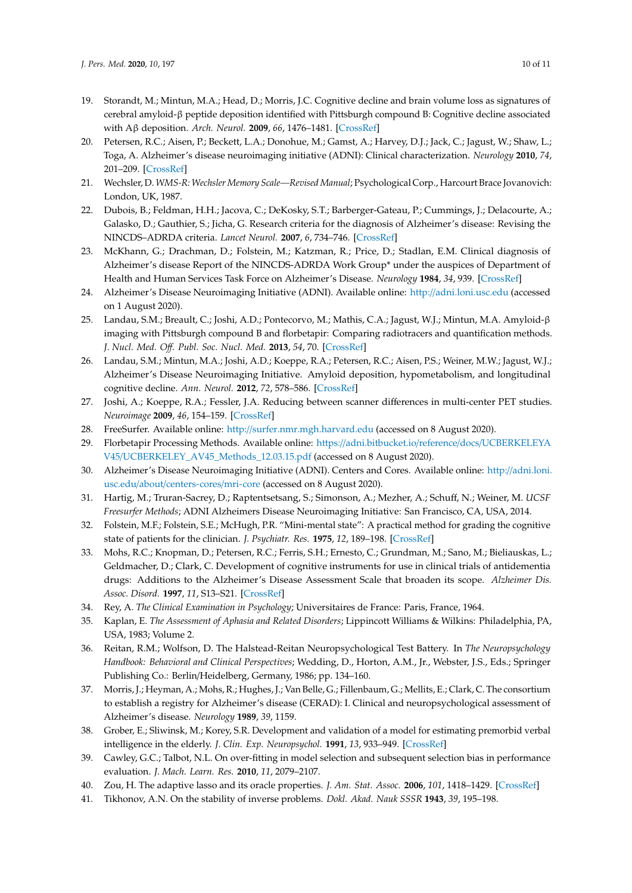- <span id="page-9-0"></span>19. Storandt, M.; Mintun, M.A.; Head, D.; Morris, J.C. Cognitive decline and brain volume loss as signatures of cerebral amyloid-β peptide deposition identified with Pittsburgh compound B: Cognitive decline associated with Aβ deposition. *Arch. Neurol.* **2009**, *66*, 1476–1481. [\[CrossRef\]](http://dx.doi.org/10.1001/archneurol.2009.272)
- <span id="page-9-1"></span>20. Petersen, R.C.; Aisen, P.; Beckett, L.A.; Donohue, M.; Gamst, A.; Harvey, D.J.; Jack, C.; Jagust, W.; Shaw, L.; Toga, A. Alzheimer's disease neuroimaging initiative (ADNI): Clinical characterization. *Neurology* **2010**, *74*, 201–209. [\[CrossRef\]](http://dx.doi.org/10.1212/WNL.0b013e3181cb3e25)
- <span id="page-9-2"></span>21. Wechsler, D. *WMS-R: Wechsler Memory Scale—Revised Manual*; Psychological Corp., Harcourt Brace Jovanovich: London, UK, 1987.
- <span id="page-9-3"></span>22. Dubois, B.; Feldman, H.H.; Jacova, C.; DeKosky, S.T.; Barberger-Gateau, P.; Cummings, J.; Delacourte, A.; Galasko, D.; Gauthier, S.; Jicha, G. Research criteria for the diagnosis of Alzheimer's disease: Revising the NINCDS–ADRDA criteria. *Lancet Neurol.* **2007**, *6*, 734–746. [\[CrossRef\]](http://dx.doi.org/10.1016/S1474-4422(07)70178-3)
- <span id="page-9-4"></span>23. McKhann, G.; Drachman, D.; Folstein, M.; Katzman, R.; Price, D.; Stadlan, E.M. Clinical diagnosis of Alzheimer's disease Report of the NINCDS-ADRDA Work Group\* under the auspices of Department of Health and Human Services Task Force on Alzheimer's Disease. *Neurology* **1984**, *34*, 939. [\[CrossRef\]](http://dx.doi.org/10.1212/WNL.34.7.939)
- <span id="page-9-5"></span>24. Alzheimer's Disease Neuroimaging Initiative (ADNI). Available online: http://[adni.loni.usc.edu](http://adni.loni.usc.edu) (accessed on 1 August 2020).
- <span id="page-9-6"></span>25. Landau, S.M.; Breault, C.; Joshi, A.D.; Pontecorvo, M.; Mathis, C.A.; Jagust, W.J.; Mintun, M.A. Amyloid-β imaging with Pittsburgh compound B and florbetapir: Comparing radiotracers and quantification methods. *J. Nucl. Med. O*ff*. Publ. Soc. Nucl. Med.* **2013**, *54*, 70. [\[CrossRef\]](http://dx.doi.org/10.2967/jnumed.112.109009)
- <span id="page-9-7"></span>26. Landau, S.M.; Mintun, M.A.; Joshi, A.D.; Koeppe, R.A.; Petersen, R.C.; Aisen, P.S.; Weiner, M.W.; Jagust, W.J.; Alzheimer's Disease Neuroimaging Initiative. Amyloid deposition, hypometabolism, and longitudinal cognitive decline. *Ann. Neurol.* **2012**, *72*, 578–586. [\[CrossRef\]](http://dx.doi.org/10.1002/ana.23650)
- <span id="page-9-8"></span>27. Joshi, A.; Koeppe, R.A.; Fessler, J.A. Reducing between scanner differences in multi-center PET studies. *Neuroimage* **2009**, *46*, 154–159. [\[CrossRef\]](http://dx.doi.org/10.1016/j.neuroimage.2009.01.057)
- <span id="page-9-9"></span>28. FreeSurfer. Available online: http://[surfer.nmr.mgh.harvard.edu](http://surfer.nmr.mgh.harvard.edu) (accessed on 8 August 2020).
- <span id="page-9-10"></span>29. Florbetapir Processing Methods. Available online: https://[adni.bitbucket.io](https://adni.bitbucket.io/reference/docs/UCBERKELEYAV45/UCBERKELEY_AV45_Methods_12.03.15.pdf)/reference/docs/UCBERKELEYA V45/[UCBERKELEY\\_AV45\\_Methods\\_12.03.15.pdf](https://adni.bitbucket.io/reference/docs/UCBERKELEYAV45/UCBERKELEY_AV45_Methods_12.03.15.pdf) (accessed on 8 August 2020).
- <span id="page-9-11"></span>30. Alzheimer's Disease Neuroimaging Initiative (ADNI). Centers and Cores. Available online: http://[adni.loni.](http://adni.loni.usc.edu/about/centers-cores/mri-core) usc.edu/about/[centers-cores](http://adni.loni.usc.edu/about/centers-cores/mri-core)/mri-core (accessed on 8 August 2020).
- <span id="page-9-12"></span>31. Hartig, M.; Truran-Sacrey, D.; Raptentsetsang, S.; Simonson, A.; Mezher, A.; Schuff, N.; Weiner, M. *UCSF Freesurfer Methods*; ADNI Alzheimers Disease Neuroimaging Initiative: San Francisco, CA, USA, 2014.
- <span id="page-9-13"></span>32. Folstein, M.F.; Folstein, S.E.; McHugh, P.R. "Mini-mental state": A practical method for grading the cognitive state of patients for the clinician. *J. Psychiatr. Res.* **1975**, *12*, 189–198. [\[CrossRef\]](http://dx.doi.org/10.1016/0022-3956(75)90026-6)
- <span id="page-9-14"></span>33. Mohs, R.C.; Knopman, D.; Petersen, R.C.; Ferris, S.H.; Ernesto, C.; Grundman, M.; Sano, M.; Bieliauskas, L.; Geldmacher, D.; Clark, C. Development of cognitive instruments for use in clinical trials of antidementia drugs: Additions to the Alzheimer's Disease Assessment Scale that broaden its scope. *Alzheimer Dis. Assoc. Disord.* **1997**, *11*, S13–S21. [\[CrossRef\]](http://dx.doi.org/10.1097/00002093-199700112-00003)
- <span id="page-9-15"></span>34. Rey, A. *The Clinical Examination in Psychology*; Universitaires de France: Paris, France, 1964.
- <span id="page-9-16"></span>35. Kaplan, E. *The Assessment of Aphasia and Related Disorders*; Lippincott Williams & Wilkins: Philadelphia, PA, USA, 1983; Volume 2.
- <span id="page-9-17"></span>36. Reitan, R.M.; Wolfson, D. The Halstead-Reitan Neuropsychological Test Battery. In *The Neuropsychology Handbook: Behavioral and Clinical Perspectives*; Wedding, D., Horton, A.M., Jr., Webster, J.S., Eds.; Springer Publishing Co.: Berlin/Heidelberg, Germany, 1986; pp. 134–160.
- <span id="page-9-18"></span>37. Morris, J.; Heyman, A.; Mohs, R.; Hughes, J.; Van Belle, G.; Fillenbaum, G.; Mellits, E.; Clark, C. The consortium to establish a registry for Alzheimer's disease (CERAD): I. Clinical and neuropsychological assessment of Alzheimer's disease. *Neurology* **1989**, *39*, 1159.
- <span id="page-9-19"></span>38. Grober, E.; Sliwinsk, M.; Korey, S.R. Development and validation of a model for estimating premorbid verbal intelligence in the elderly. *J. Clin. Exp. Neuropsychol.* **1991**, *13*, 933–949. [\[CrossRef\]](http://dx.doi.org/10.1080/01688639108405109)
- <span id="page-9-20"></span>39. Cawley, G.C.; Talbot, N.L. On over-fitting in model selection and subsequent selection bias in performance evaluation. *J. Mach. Learn. Res.* **2010**, *11*, 2079–2107.
- <span id="page-9-21"></span>40. Zou, H. The adaptive lasso and its oracle properties. *J. Am. Stat. Assoc.* **2006**, *101*, 1418–1429. [\[CrossRef\]](http://dx.doi.org/10.1198/016214506000000735)
- <span id="page-9-22"></span>41. Tikhonov, A.N. On the stability of inverse problems. *Dokl. Akad. Nauk SSSR* **1943**, *39*, 195–198.